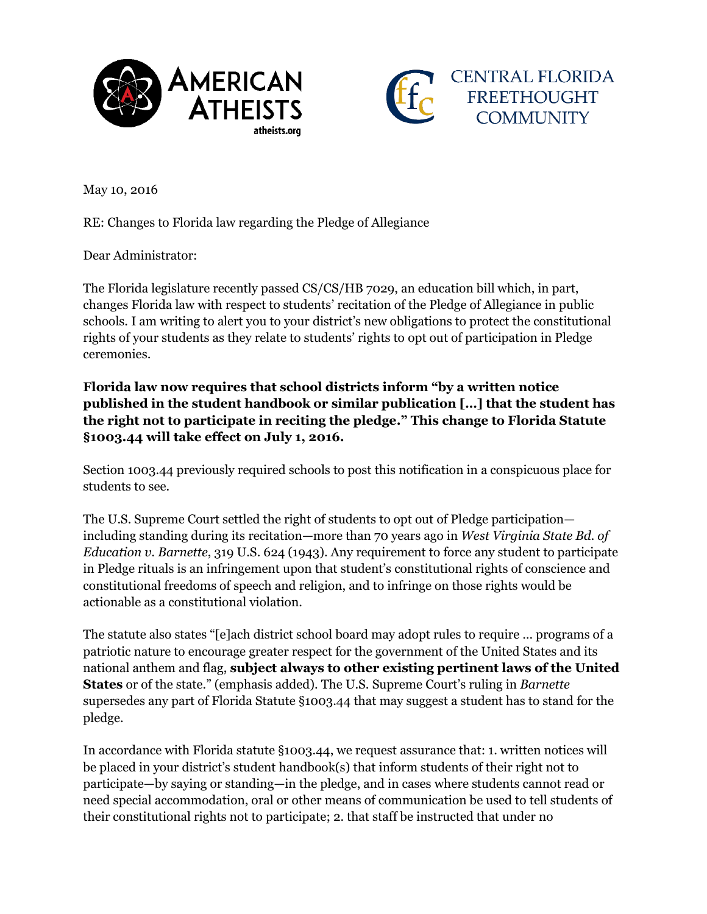



May 10, 2016

RE: Changes to Florida law regarding the Pledge of Allegiance

Dear Administrator:

The Florida legislature recently passed CS/CS/HB 7029, an education bill which, in part, changes Florida law with respect to students' recitation of the Pledge of Allegiance in public schools. I am writing to alert you to your district's new obligations to protect the constitutional rights of your students as they relate to students' rights to opt out of participation in Pledge ceremonies.

**Florida law now requires that school districts inform "by a written notice published in the student handbook or similar publication […] that the student has the right not to participate in reciting the pledge." This change to Florida Statute §1003.44 will take effect on July 1, 2016.**

Section 1003.44 previously required schools to post this notification in a conspicuous place for students to see.

The U.S. Supreme Court settled the right of students to opt out of Pledge participation including standing during its recitation—more than 70 years ago in *West Virginia State Bd. of Education v. Barnette*, 319 U.S. 624 (1943). Any requirement to force any student to participate in Pledge rituals is an infringement upon that student's constitutional rights of conscience and constitutional freedoms of speech and religion, and to infringe on those rights would be actionable as a constitutional violation.

The statute also states "[e]ach district school board may adopt rules to require … programs of a patriotic nature to encourage greater respect for the government of the United States and its national anthem and flag, **subject always to other existing pertinent laws of the United States** or of the state." (emphasis added). The U.S. Supreme Court's ruling in *Barnette* supersedes any part of Florida Statute §1003.44 that may suggest a student has to stand for the pledge.

In accordance with Florida statute §1003.44, we request assurance that: 1. written notices will be placed in your district's student handbook(s) that inform students of their right not to participate—by saying or standing—in the pledge, and in cases where students cannot read or need special accommodation, oral or other means of communication be used to tell students of their constitutional rights not to participate; 2. that staff be instructed that under no